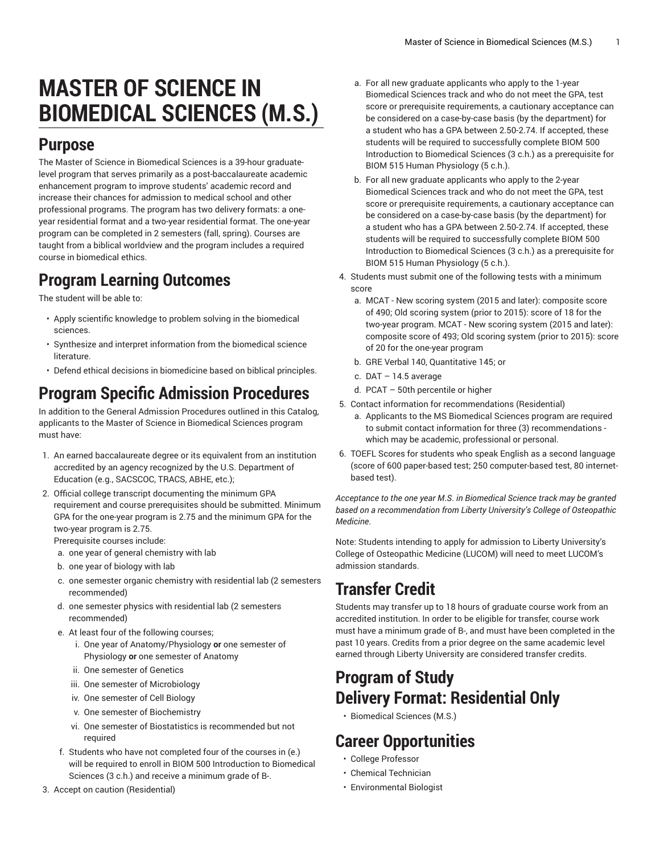# **MASTER OF SCIENCE IN BIOMEDICAL SCIENCES (M.S.)**

#### **Purpose**

The Master of Science in Biomedical Sciences is a 39-hour graduatelevel program that serves primarily as a post-baccalaureate academic enhancement program to improve students' academic record and increase their chances for admission to medical school and other professional programs. The program has two delivery formats: a oneyear residential format and a two-year residential format. The one-year program can be completed in 2 semesters (fall, spring). Courses are taught from a biblical worldview and the program includes a required course in biomedical ethics.

#### **Program Learning Outcomes**

The student will be able to:

- Apply scientific knowledge to problem solving in the biomedical sciences.
- Synthesize and interpret information from the biomedical science literature.
- Defend ethical decisions in biomedicine based on biblical principles.

### **Program Specific Admission Procedures**

In addition to the General Admission Procedures outlined in this Catalog, applicants to the Master of Science in Biomedical Sciences program must have:

- 1. An earned baccalaureate degree or its equivalent from an institution accredited by an agency recognized by the U.S. Department of Education (e.g., SACSCOC, TRACS, ABHE, etc.);
- 2. Official college transcript documenting the minimum GPA requirement and course prerequisites should be submitted. Minimum GPA for the one-year program is 2.75 and the minimum GPA for the two-year program is 2.75.

Prerequisite courses include:

- a. one year of general chemistry with lab
- b. one year of biology with lab
- c. one semester organic chemistry with residential lab (2 semesters recommended)
- d. one semester physics with residential lab (2 semesters recommended)
- e. At least four of the following courses;
	- i. One year of Anatomy/Physiology **or** one semester of Physiology **or** one semester of Anatomy
	- ii. One semester of Genetics
	- iii. One semester of Microbiology
	- iv. One semester of Cell Biology
	- v. One semester of Biochemistry
	- vi. One semester of Biostatistics is recommended but not required
- f. Students who have not completed four of the courses in (e.) will be required to enroll in [BIOM 500](https://catalog.liberty.edu/search/?P=BIOM%20500) Introduction to Biomedical Sciences (3 c.h.) and receive a minimum grade of B-.
- 3. Accept on caution (Residential)
- a. For all new graduate applicants who apply to the 1-year Biomedical Sciences track and who do not meet the GPA, test score or prerequisite requirements, a cautionary acceptance can be considered on a case-by-case basis (by the department) for a student who has a GPA between 2.50-2.74. If accepted, these students will be required to successfully complete [BIOM 500](https://catalog.liberty.edu/search/?P=BIOM%20500) Introduction to Biomedical Sciences (3 c.h.) as a prerequisite for [BIOM 515](https://catalog.liberty.edu/search/?P=BIOM%20515) Human Physiology (5 c.h.).
- b. For all new graduate applicants who apply to the 2-year Biomedical Sciences track and who do not meet the GPA, test score or prerequisite requirements, a cautionary acceptance can be considered on a case-by-case basis (by the department) for a student who has a GPA between 2.50-2.74. If accepted, these students will be required to successfully complete [BIOM 500](https://catalog.liberty.edu/search/?P=BIOM%20500) Introduction to Biomedical Sciences (3 c.h.) as a prerequisite for [BIOM 515](https://catalog.liberty.edu/search/?P=BIOM%20515) Human Physiology (5 c.h.).
- 4. Students must submit one of the following tests with a minimum score
	- a. MCAT New scoring system (2015 and later): composite score of 490; Old scoring system (prior to 2015): score of 18 for the two-year program. MCAT - New scoring system (2015 and later): composite score of 493; Old scoring system (prior to 2015): score of 20 for the one-year program
	- b. GRE Verbal 140, Quantitative 145; or
	- c.  $DAT 14.5$  average
	- d. PCAT 50th percentile or higher
- 5. Contact information for recommendations (Residential)
	- a. Applicants to the MS Biomedical Sciences program are required to submit contact information for three (3) recommendations which may be academic, professional or personal.
- 6. TOEFL Scores for students who speak English as a second language (score of 600 paper-based test; 250 computer-based test, 80 internetbased test).

*Acceptance to the one year M*.*S*. *in Biomedical Science track may be granted based on a recommendation from Liberty University's College of Osteopathic Medicine*.

Note: Students intending to apply for admission to Liberty University's College of Osteopathic Medicine (LUCOM) will need to meet LUCOM's admission standards.

#### **Transfer Credit**

Students may transfer up to 18 hours of graduate course work from an accredited institution. In order to be eligible for transfer, course work must have a minimum grade of B-, and must have been completed in the past 10 years. Credits from a prior degree on the same academic level earned through Liberty University are considered transfer credits.

## **Program of Study Delivery Format: Residential Only**

• [Biomedical Sciences \(M.S.\)](https://catalog.liberty.edu/graduate/colleges-schools/health-sciences/biomedical-sciences-ms/biomedical-sciences-ms/)

#### **Career Opportunities**

- College Professor
- Chemical Technician
- Environmental Biologist